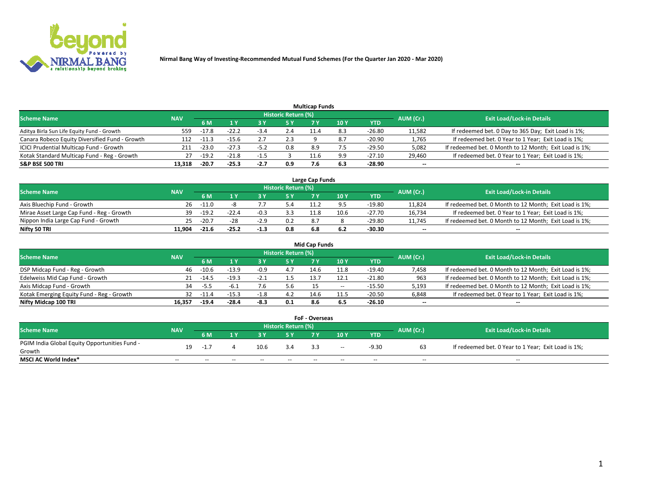

|                                                |            |         |         |        |                     | <b>Multicap Funds</b> |      |          |           |                                                        |
|------------------------------------------------|------------|---------|---------|--------|---------------------|-----------------------|------|----------|-----------|--------------------------------------------------------|
| <b>Scheme Name</b>                             | <b>NAV</b> |         |         |        | Historic Return (%) |                       |      |          | AUM (Cr.) | <b>Exit Load/Lock-in Details</b>                       |
|                                                |            | 6 M     |         |        | 5 Y                 |                       | 10 Y | YTD      |           |                                                        |
| Aditya Birla Sun Life Equity Fund - Growth     | 559        | -17.8   | $-22.2$ | -5.4   | 2.4                 |                       |      | -26.80   | 11,582    | If redeemed bet. 0 Day to 365 Day; Exit Load is 1%;    |
| Canara Robeco Equity Diversified Fund - Growth | 112        | -11.3   | $-15.6$ |        | 2.3                 |                       |      | -20.90   | 1,765     | If redeemed bet. 0 Year to 1 Year; Exit Load is 1%;    |
| ICICI Prudential Multicap Fund - Growth        | 211        | $-23.0$ | $-27.3$ | $-5.2$ | 0.8                 | -8.9                  |      | $-29.50$ | 5,082     | If redeemed bet. 0 Month to 12 Month; Exit Load is 1%; |
| Kotak Standard Multicap Fund - Reg - Growth    | 27         | $-19.2$ | $-21.8$ | -1.5   |                     | 11.6                  | 9.9  | $-27.10$ | 29,460    | If redeemed bet. 0 Year to 1 Year; Exit Load is 1%;    |
| <b>S&amp;P BSE 500 TRI</b>                     | 13.318     | $-20.7$ | $-25.3$ | $-2.7$ | 0.9                 |                       | 6.3  | $-28.90$ | $\sim$    | $-$                                                    |

| Large Cap Funds                           |            |         |           |                                  |     |      |               |          |        |                                                        |  |  |  |  |
|-------------------------------------------|------------|---------|-----------|----------------------------------|-----|------|---------------|----------|--------|--------------------------------------------------------|--|--|--|--|
| Scheme Name                               | <b>NAV</b> |         | AUM (Cr.) | <b>Exit Load/Lock-in Details</b> |     |      |               |          |        |                                                        |  |  |  |  |
|                                           |            | 6 M     |           |                                  | 5 Y | 7 V  | $\sqrt{10}$ Y | YTD      |        |                                                        |  |  |  |  |
| Axis Bluechip Fund - Growth               | 26         | $-11.0$ |           |                                  |     |      |               | -19.80   | 11,824 | If redeemed bet. 0 Month to 12 Month; Exit Load is 1%; |  |  |  |  |
| Mirae Asset Large Cap Fund - Reg - Growth | 39         | $-19.2$ | $-22.4$   |                                  | 3.3 | 11.8 | 10.6          | $-27.70$ | 16,734 | If redeemed bet. 0 Year to 1 Year; Exit Load is 1%;    |  |  |  |  |
| Nippon India Large Cap Fund - Growth      |            | $-20.7$ | $-28$     | $-2.9$                           | 0.2 | 8.   |               | -29.80   | 11,745 | If redeemed bet. 0 Month to 12 Month; Exit Load is 1%; |  |  |  |  |
| Nifty 50 TRI                              | 11.904     | $-21.6$ | $-25.2$   | $-1.3$                           | 0.8 |      |               | -30.30   | $\sim$ | $-$                                                    |  |  |  |  |

|                                           |            |         |         |        |                     | <b>Mid Cap Funds</b> |       |            |           |                                                        |
|-------------------------------------------|------------|---------|---------|--------|---------------------|----------------------|-------|------------|-----------|--------------------------------------------------------|
| <b>Scheme Name</b>                        | <b>NAV</b> |         |         |        | Historic Return (%) |                      |       |            | AUM (Cr.) | <b>Exit Load/Lock-in Details</b>                       |
|                                           |            | 6 M     |         |        |                     |                      | 10Y   | <b>YTD</b> |           |                                                        |
| DSP Midcap Fund - Reg - Growth            | 46         | $-10.6$ | -13.9   | -0.9   | 4.7                 | 14.6                 | 11.8  | $-19.40$   | 7,458     | If redeemed bet. 0 Month to 12 Month; Exit Load is 1%; |
| Edelweiss Mid Cap Fund - Growth           |            | -14.5   | $-19.3$ | -2.1   |                     | 13.7                 |       | $-21.80$   | 963       | If redeemed bet. 0 Month to 12 Month; Exit Load is 1%; |
| Axis Midcap Fund - Growth                 |            | $-5.5$  | -6.⊥    | 4.6    | 5.6                 | 15                   | $- -$ | $-15.50$   | 5,193     | If redeemed bet. 0 Month to 12 Month; Exit Load is 1%; |
| Kotak Emerging Equity Fund - Reg - Growth | 32         | -11.4   | $-15.3$ | $-1.8$ | 4.2                 | 14.6                 | 11.5  | $-20.50$   | 6,848     | If redeemed bet. 0 Year to 1 Year; Exit Load is 1%;    |
| Nifty Midcap 100 TRI                      | 16.357     | $-19.4$ | -28.4   | $-8.3$ | 0.1                 | 8.6                  | 6.5   | $-26.10$   | $\sim$    |                                                        |

| <b>FoF - Overseas</b>                         |            |       |       |       |                            |                                  |       |            |           |                                                     |  |  |  |
|-----------------------------------------------|------------|-------|-------|-------|----------------------------|----------------------------------|-------|------------|-----------|-----------------------------------------------------|--|--|--|
| <b>Scheme Name</b>                            | <b>NAV</b> |       |       |       | <b>Historic Return (%)</b> | <b>Exit Load/Lock-in Details</b> |       |            |           |                                                     |  |  |  |
|                                               |            | 6 M   |       |       |                            |                                  | 10Y   | <b>YTD</b> | AUM (Cr.) |                                                     |  |  |  |
| PGIM India Global Equity Opportunities Fund - | 19         |       |       | 10.6  | 3.4                        |                                  | $- -$ | -9.30      |           | If redeemed bet. 0 Year to 1 Year; Exit Load is 1%; |  |  |  |
| Growth                                        |            | $-1.$ |       |       |                            |                                  |       |            |           |                                                     |  |  |  |
| <b>MSCI AC World Index*</b>                   | $ -$       | $- -$ | $- -$ | $- -$ | $- -$                      | $ -$                             | $- -$ | $- -$      | $- -$     | $\hspace{0.05cm} -$                                 |  |  |  |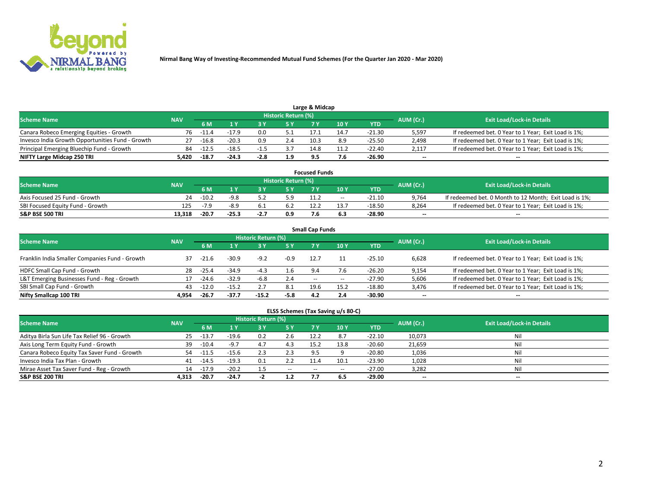

|                                                  |            |         |         |        | Historic Return (%) |      |      |            |                          |                                                     |
|--------------------------------------------------|------------|---------|---------|--------|---------------------|------|------|------------|--------------------------|-----------------------------------------------------|
| <b>Scheme Name</b>                               | <b>NAV</b> | 5 M     |         |        | 5 Y                 |      | 10Y  | <b>YTD</b> | AUM (Cr.)                | <b>Exit Load/Lock-in Details</b>                    |
| Canara Robeco Emerging Equities - Growth         | 76         | $-11.4$ | $-17.9$ | 0.0    |                     | 17.1 | 14.7 | -21.30     | 5,597                    | If redeemed bet. 0 Year to 1 Year; Exit Load is 1%; |
| Invesco India Growth Opportunities Fund - Growth |            | $-16.8$ | $-20.3$ | 0.9    | 2.4                 | 10.3 | 8.9  | $-25.50$   | 2,498                    | If redeemed bet. 0 Year to 1 Year; Exit Load is 1%; |
| Principal Emerging Bluechip Fund - Growth        | 84         | $-12.5$ | $-18.5$ |        |                     | 14.8 | 11.2 | -22.40     | 2,117                    | If redeemed bet. 0 Year to 1 Year; Exit Load is 1%; |
| NIFTY Large Midcap 250 TRI                       | 5.420      | $-18.7$ | $-24.3$ | $-2.8$ | 1.9                 |      | 7.6  | -26.90     | $\overline{\phantom{a}}$ | $- -$                                               |

| <b>Focused Funds</b>             |            |         |         |      |                            |      |       |            |                          |                                                        |  |  |  |
|----------------------------------|------------|---------|---------|------|----------------------------|------|-------|------------|--------------------------|--------------------------------------------------------|--|--|--|
| <b>Scheme Name</b>               | <b>NAV</b> |         |         |      | <b>Historic Return (%)</b> |      |       |            |                          | <b>Exit Load/Lock-in Details</b>                       |  |  |  |
|                                  |            | 6 M     |         |      |                            |      | 10 Y  | <b>YTD</b> | AUM (Cr.)                |                                                        |  |  |  |
| Axis Focused 25 Fund - Growth    | 24         | $-10.2$ | $-9.8$  |      | 5.9                        | 11.2 | $- -$ | -21.10     | 9.764                    | If redeemed bet. 0 Month to 12 Month; Exit Load is 1%; |  |  |  |
| SBI Focused Equity Fund - Growth | 125        |         | $-8.9$  |      |                            | 12.2 | 13.7  | $-18.50$   | 8.264                    | If redeemed bet. 0 Year to 1 Year: Exit Load is 1%:    |  |  |  |
| S&P BSE 500 TRI                  | 13.318     | $-20.7$ | $-25.3$ | -2., | 0.9                        |      |       | -28.90     | $\overline{\phantom{a}}$ | $\overline{\phantom{a}}$                               |  |  |  |

| <b>Small Cap Funds</b>                         |            |         |         |                     |           |        |       |            |                          |                                                     |  |  |  |  |
|------------------------------------------------|------------|---------|---------|---------------------|-----------|--------|-------|------------|--------------------------|-----------------------------------------------------|--|--|--|--|
| <b>Scheme Name</b>                             | <b>NAV</b> |         |         | Historic Return (%) |           |        |       |            |                          | <b>Exit Load/Lock-in Details</b>                    |  |  |  |  |
|                                                |            | 6 M     |         |                     | <b>5Y</b> |        | 10Y   | <b>YTD</b> | AUM (Cr.)                |                                                     |  |  |  |  |
| Franklin India Smaller Companies Fund - Growth | 37         | $-21.6$ | $-30.9$ | $-9.2$              | -0.9      | 12.7   |       | $-25.10$   | 6,628                    | If redeemed bet. 0 Year to 1 Year; Exit Load is 1%; |  |  |  |  |
| HDFC Small Cap Fund - Growth                   | 28         | $-25.4$ | $-34.9$ | $-4.3$              | 1.6       | 9.4    | 7.6   | $-26.20$   | 9,154                    | If redeemed bet. 0 Year to 1 Year; Exit Load is 1%; |  |  |  |  |
| L&T Emerging Businesses Fund - Reg - Growth    | 17         | $-24.6$ | $-32.9$ | -6.8                | 2.4       | $\sim$ | $- -$ | $-27.90$   | 5,606                    | If redeemed bet. 0 Year to 1 Year; Exit Load is 1%; |  |  |  |  |
| SBI Small Cap Fund - Growth                    | 43         | $-12.0$ | $-15.2$ |                     | 8.1       | 19.6   | 15.2  | $-18.80$   | 3,476                    | If redeemed bet. 0 Year to 1 Year; Exit Load is 1%; |  |  |  |  |
| Nifty Smallcap 100 TRI                         | 4.954      | $-26.7$ | $-37.7$ | $-15.2$             | $-5.8$    | 4.2    | 2.4   | -30.90     | $\overline{\phantom{a}}$ | $- -$                                               |  |  |  |  |

## **ELSS Schemes (Tax Saving u/s 80-C)**

| <b>Scheme Name</b>                           | <b>NAV</b> |         |         | <b>Historic Return (%)</b> |           |      |      |          | AUM (Cr.) | <b>Exit Load/Lock-in Details</b> |
|----------------------------------------------|------------|---------|---------|----------------------------|-----------|------|------|----------|-----------|----------------------------------|
|                                              |            | 6 M     | 1 Y     | 3 Y                        | <b>5Y</b> | 7 Y  | 10Y  | YTD      |           |                                  |
| Aditya Birla Sun Life Tax Relief 96 - Growth | 25         | -13.7   | $-19.6$ | 0.2                        | 2.6       | 12.2 | 8.7  | $-22.10$ | 10,073    | Nil                              |
| Axis Long Term Equity Fund - Growth          | 39         | $-10.4$ | $-9.7$  | 4.1                        | 4.3       | 15.2 | 13.8 | $-20.60$ | 21,659    | Nil                              |
| Canara Robeco Equity Tax Saver Fund - Growth | 54         | -11.5   | $-15.6$ |                            | 2.3       | 9.5  |      | $-20.80$ | 1,036     | Nil                              |
| Invesco India Tax Plan - Growth              | 41         | -14.5   | $-19.3$ | 0.1                        | 2.2       | 11.4 | 10.1 | $-23.90$ | 1,028     | Nil                              |
| Mirae Asset Tax Saver Fund - Reg - Growth    | 14         | $-17.9$ | $-20.2$ |                            | $- -$     | --   | --   | $-27.00$ | 3,282     | Nil                              |
| S&P BSE 200 TRI                              | 4.313      | $-20.7$ | $-24.7$ |                            | 1.2       |      | 6.5  | -29.00   | $-$       | $- -$                            |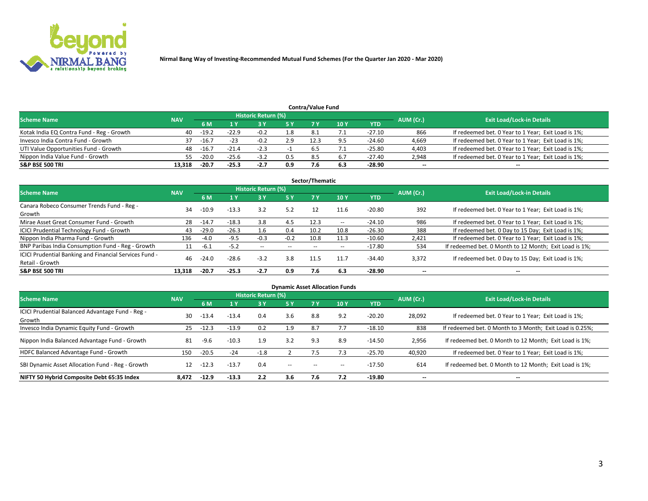

|                                           |            |         |         |                     |     | <b>Contra/Value Fund</b> |     |          |           |                                                     |
|-------------------------------------------|------------|---------|---------|---------------------|-----|--------------------------|-----|----------|-----------|-----------------------------------------------------|
| <b>Scheme Name</b>                        | <b>NAV</b> |         |         | Historic Return (%) |     |                          |     |          | AUM (Cr.) | <b>Exit Load/Lock-in Details</b>                    |
|                                           |            | 6 M     |         |                     | 5 Y | 7 V                      | 10Y | YTD      |           |                                                     |
| Kotak India EQ Contra Fund - Reg - Growth | 40         | $-19.2$ | $-22.9$ |                     | 1.8 |                          |     | $-27.10$ | 866       | If redeemed bet. 0 Year to 1 Year; Exit Load is 1%; |
| Invesco India Contra Fund - Growth        | 37         | $-16.7$ | $-23$   |                     | 2.9 | 12.5                     | ΩI  | -24.60   | 4,669     | If redeemed bet. 0 Year to 1 Year; Exit Load is 1%; |
| UTI Value Opportunities Fund - Growth     | 48         | $-16.7$ | $-21.4$ | $-2.3$              |     |                          |     | -25.80   | 4,403     | If redeemed bet. 0 Year to 1 Year; Exit Load is 1%; |
| Nippon India Value Fund - Growth          |            | $-20.0$ | $-25.6$ | $-3.2$              | 0.5 | 8.5                      |     | -27.40   | 2,948     | If redeemed bet. 0 Year to 1 Year; Exit Load is 1%; |
| <b>S&amp;P BSE 500 TRI</b>                | 13.318     | $-20.7$ | $-25.3$ | $-2.7$              | 0.9 |                          | 6.3 | $-28.90$ | $\sim$    | $- -$                                               |

|                                                                           |            |         |         |                     |        | Sector/Thematic |               |            |           |                                                        |
|---------------------------------------------------------------------------|------------|---------|---------|---------------------|--------|-----------------|---------------|------------|-----------|--------------------------------------------------------|
| <b>Scheme Name</b>                                                        | <b>NAV</b> |         |         | Historic Return (%) |        |                 |               |            | AUM (Cr.) | <b>Exit Load/Lock-in Details</b>                       |
|                                                                           |            | 6 M     | 1 Y     | 73 Y                | 75 Y   | 7 Y             | 10Y           | <b>YTD</b> |           |                                                        |
| Canara Robeco Consumer Trends Fund - Reg -<br>Growth                      | 34         | $-10.9$ | $-13.3$ | 3.2                 | 5.2    | 12              | 11.6          | $-20.80$   | 392       | If redeemed bet. 0 Year to 1 Year; Exit Load is 1%;    |
| Mirae Asset Great Consumer Fund - Growth                                  | 28         | $-14.7$ | $-18.3$ | 3.8                 | 4.5    | 12.3            | $\sim$ $\sim$ | $-24.10$   | 986       | If redeemed bet. 0 Year to 1 Year; Exit Load is 1%;    |
| ICICI Prudential Technology Fund - Growth                                 | 43         | $-29.0$ | $-26.3$ | 1.6                 | 0.4    | 10.2            | 10.8          | $-26.30$   | 388       | If redeemed bet. 0 Day to 15 Day; Exit Load is 1%;     |
| Nippon India Pharma Fund - Growth                                         | 136        | $-4.0$  | $-9.5$  | $-0.3$              | $-0.2$ | 10.8            | 11.3          | $-10.60$   | 2.421     | If redeemed bet. 0 Year to 1 Year; Exit Load is 1%;    |
| BNP Paribas India Consumption Fund - Reg - Growth                         | 11         | $-6.1$  | $-5.2$  | $- -$               | $- -$  | $- -$           | $- -$         | $-17.80$   | 534       | If redeemed bet. 0 Month to 12 Month; Exit Load is 1%; |
| ICICI Prudential Banking and Financial Services Fund -<br>Retail - Growth | 46         | $-24.0$ | $-28.6$ | $-3.2$              | 3.8    | 11.5            |               | $-34.40$   | 3,372     | If redeemed bet. 0 Day to 15 Day; Exit Load is 1%;     |
| <b>S&amp;P BSE 500 TRI</b>                                                | 13,318     | $-20.7$ | $-25.3$ | $-2.7$              | 0.9    | 7.6             | 6.3           | $-28.90$   | $\sim$    | $\overline{\phantom{a}}$                               |

|                                                            |            |         |         |                     |        |       | <b>Dynamic Asset Allocation Funds</b> |            |           |                                                          |
|------------------------------------------------------------|------------|---------|---------|---------------------|--------|-------|---------------------------------------|------------|-----------|----------------------------------------------------------|
| <b>Scheme Name</b>                                         | <b>NAV</b> |         |         | Historic Return (%) |        |       |                                       |            | AUM (Cr.) | <b>Exit Load/Lock-in Details</b>                         |
|                                                            |            | 6 M     | 1 Y     | 73 Y                | 5 Y    | 7 Y   | 10Y                                   | <b>YTD</b> |           |                                                          |
| ICICI Prudential Balanced Advantage Fund - Reg -<br>Growth | 30         | $-13.4$ | $-13.4$ | 0.4                 | 3.6    | 8.8   | 9.2                                   | $-20.20$   | 28,092    | If redeemed bet. 0 Year to 1 Year; Exit Load is 1%;      |
| Invesco India Dynamic Equity Fund - Growth                 | 25         | $-12.3$ | $-13.9$ | 0.2                 | 1.9    | 8.7   |                                       | $-18.10$   | 838       | If redeemed bet. 0 Month to 3 Month; Exit Load is 0.25%; |
| Nippon India Balanced Advantage Fund - Growth              | 81         | -9.6    | $-10.3$ | 1.9                 | 3.2    | 9.3   | 8.9                                   | $-14.50$   | 2,956     | If redeemed bet. 0 Month to 12 Month; Exit Load is 1%;   |
| HDFC Balanced Advantage Fund - Growth                      | 150        | $-20.5$ | $-24$   | $-1.8$              |        | 7.5   | 7.3                                   | $-25.70$   | 40,920    | If redeemed bet. 0 Year to 1 Year; Exit Load is 1%;      |
| SBI Dynamic Asset Allocation Fund - Reg - Growth           | 12         | $-12.3$ | $-13.7$ | 0.4                 | $\sim$ | $- -$ | $- -$                                 | $-17.50$   | 614       | If redeemed bet. 0 Month to 12 Month; Exit Load is 1%;   |
| NIFTY 50 Hybrid Composite Debt 65:35 Index                 | 8.472      | $-12.9$ | $-13.3$ | 2.2                 | 3.6    | 7.6   | 7.2                                   | $-19.80$   | --        | --                                                       |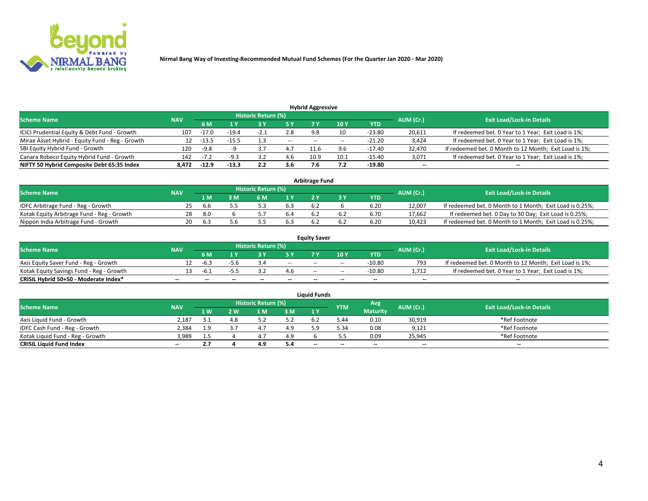

|                                                 |            |         |         |                            |       | <b>Hybrid Aggressive</b> |      |          |                          |                                                        |
|-------------------------------------------------|------------|---------|---------|----------------------------|-------|--------------------------|------|----------|--------------------------|--------------------------------------------------------|
| <b>Scheme Name</b>                              | <b>NAV</b> |         |         | <b>Historic Return (%)</b> |       |                          |      |          | AUM (Cr.)                | <b>Exit Load/Lock-in Details</b>                       |
|                                                 |            | 6 M     |         |                            | 5 Y   | 7١                       | 10Y  | YTD      |                          |                                                        |
| ICICI Prudential Equity & Debt Fund - Growth    | 107        | $-17.0$ | $-19.4$ | $-2.1$                     | 2.8   | 9.8                      | 10   | $-23.80$ | 20,611                   | If redeemed bet. 0 Year to 1 Year; Exit Load is 1%;    |
| Mirae Asset Hybrid - Equity Fund - Reg - Growth | 12         | -13.5   | $-15.5$ |                            | $- -$ | $- -$                    |      | $-21.20$ | 3,424                    | If redeemed bet. 0 Year to 1 Year; Exit Load is 1%;    |
| SBI Equity Hybrid Fund - Growth                 | 120        | $-9.8$  |         | 3.,                        | 4.7   | 11.6                     | 9.6  | -17.40   | 32,470                   | If redeemed bet. 0 Month to 12 Month; Exit Load is 1%; |
| Canara Robeco Equity Hybrid Fund - Growth       | 142        |         | $-9.3$  |                            | 4.6   | 10.9                     | 10.1 | $-15.40$ | 3,071                    | If redeemed bet. 0 Year to 1 Year; Exit Load is 1%;    |
| NIFTY 50 Hybrid Composite Debt 65:35 Index      | 8.472      | $-12.9$ | $-13.3$ | 2.2                        | 3.6   |                          |      | -19.80   | $\overline{\phantom{a}}$ | $- -$                                                  |

|                                            |            |           |                                  |     |                | <b>Arbitrage Fund</b> |            |        |                                                          |
|--------------------------------------------|------------|-----------|----------------------------------|-----|----------------|-----------------------|------------|--------|----------------------------------------------------------|
| <b>Scheme Name</b>                         | <b>NAV</b> | AUM (Cr.) | <b>Exit Load/Lock-in Details</b> |     |                |                       |            |        |                                                          |
|                                            |            | 1 M.      | 3 M                              | 6 M | 1 <sub>Y</sub> |                       | <b>YTD</b> |        |                                                          |
| IDFC Arbitrage Fund - Reg - Growth         | 25         | b         |                                  |     |                |                       | 6.20       | 12,007 | If redeemed bet. 0 Month to 1 Month; Exit Load is 0.25%; |
| Kotak Equity Arbitrage Fund - Reg - Growth | 28         | -8.0      |                                  |     | b.4            |                       | 6.70       | 17,662 | If redeemed bet. 0 Day to 30 Day; Exit Load is 0.25%;    |
| Nippon India Arbitrage Fund - Growth       | 20         | b.:       |                                  |     |                |                       | 6.20       | 10.423 | If redeemed bet. 0 Month to 1 Month; Exit Load is 0.25%; |

|                                          |            |           |                                  |                 |                          | <b>Equity Saver</b> |       |            |                          |                                                        |
|------------------------------------------|------------|-----------|----------------------------------|-----------------|--------------------------|---------------------|-------|------------|--------------------------|--------------------------------------------------------|
| Scheme Name                              | <b>NAV</b> | AUM (Cr.) | <b>Exit Load/Lock-in Details</b> |                 |                          |                     |       |            |                          |                                                        |
|                                          |            | 6 M       |                                  |                 | 5 V                      |                     | 10Y   | <b>YTD</b> |                          |                                                        |
| Axis Equity Saver Fund - Reg - Growth    |            | -6.3      | -5.6                             |                 | $\sim$                   | $- -$               | $- -$ | -10.80     | 793                      | If redeemed bet. 0 Month to 12 Month; Exit Load is 1%; |
| Kotak Equity Savings Fund - Reg - Growth |            | $-5$      |                                  |                 | 4.6                      | $- -$               | --    | -10.80     | 1.712                    | If redeemed bet. 0 Year to 1 Year; Exit Load is 1%;    |
| CRISIL Hybrid 50+50 - Moderate Index*    | $- -$      |           | $\overline{\phantom{a}}$         | $\qquad \qquad$ | $\overline{\phantom{a}}$ | $\sim$              | --    | $- -$      | $\overline{\phantom{a}}$ | $- -$                                                  |

| <b>Liquid Funds</b>              |            |      |     |                            |     |                          |            |                 |                          |                                  |  |  |  |
|----------------------------------|------------|------|-----|----------------------------|-----|--------------------------|------------|-----------------|--------------------------|----------------------------------|--|--|--|
| Scheme Name                      | <b>NAV</b> |      |     | <b>Historic Return (%)</b> |     |                          | <b>YTM</b> | Avg             | AUM (Cr.)                | <b>Exit Load/Lock-in Details</b> |  |  |  |
|                                  |            | 1 W. | ว พ | 1 M                        | 3M  | 1 <sup>Y</sup>           |            | <b>Maturity</b> |                          |                                  |  |  |  |
| Axis Liquid Fund - Growth        | 2.187      |      |     |                            | 5.2 |                          | 44.د       | 0.10            | 30,919                   | *Ref Footnote                    |  |  |  |
| IDFC Cash Fund - Reg - Growth    | 2.384      | 1.9  |     |                            | 4.9 |                          | 5.34       | 0.08            | 9,121                    | *Ref Footnote                    |  |  |  |
| Kotak Liquid Fund - Reg - Growth | 3,989      | 1.5  |     | <sup>4.,</sup>             | 4.9 |                          |            | 0.09            | 25,945                   | *Ref Footnote                    |  |  |  |
| <b>CRISIL Liquid Fund Index</b>  | $\sim$     | 2.7  |     | 4.9                        | 5.4 | $\overline{\phantom{a}}$ | --         | $\sim$          | $\overline{\phantom{a}}$ | $\sim$                           |  |  |  |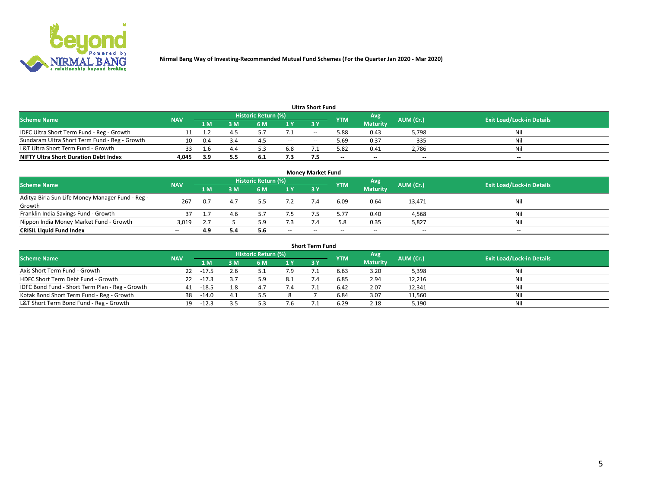

| <b>Ultra Short Fund</b>                       |            |     |     |                     |     |       |            |                 |           |                                  |  |  |  |  |
|-----------------------------------------------|------------|-----|-----|---------------------|-----|-------|------------|-----------------|-----------|----------------------------------|--|--|--|--|
| <b>Scheme Name</b>                            | <b>NAV</b> |     |     | Historic Return (%) |     |       | <b>YTM</b> | Avg             | AUM (Cr.) | <b>Exit Load/Lock-in Details</b> |  |  |  |  |
|                                               |            | 1 M | 3 M | 6 M                 | 1 Y | 3 Y   |            | <b>Maturity</b> |           |                                  |  |  |  |  |
| IDFC Ultra Short Term Fund - Reg - Growth     |            |     |     |                     | 7.1 | $- -$ | 5.88       | 0.43            | 5,798     | Nil                              |  |  |  |  |
| Sundaram Ultra Short Term Fund - Reg - Growth | 10         | 0.4 |     | 4.                  | $-$ | --    | ۔ 69.د     | 0.37            | 335       | Nil                              |  |  |  |  |
| L&T Ultra Short Term Fund - Growth            |            |     |     |                     | 6.8 |       | 5.82       | 0.41            | 2,786     | Nil                              |  |  |  |  |
| <b>NIFTY Ultra Short Duration Debt Index</b>  | 4.045      | 3.9 | 5.5 | <b>b.l</b>          | 7.3 |       | $\sim$     | $\sim$          | $\sim$    | $- -$                            |  |  |  |  |

| <b>Monev Market Fund</b>                                   |            |     |     |                     |        |        |            |                 |                          |                                  |  |  |  |
|------------------------------------------------------------|------------|-----|-----|---------------------|--------|--------|------------|-----------------|--------------------------|----------------------------------|--|--|--|
| <b>Scheme Name</b>                                         | <b>NAV</b> |     |     | Historic Return (%) |        |        | <b>YTM</b> | Avg             | AUM (Cr.)                | <b>Exit Load/Lock-in Details</b> |  |  |  |
|                                                            |            | 1 M | 3 M | 6 M                 | 1Y     | 3Y     |            | <b>Maturity</b> |                          |                                  |  |  |  |
| Aditya Birla Sun Life Money Manager Fund - Reg -<br>Growth | 267        | 0.7 |     |                     |        |        | 6.09       | 0.64            | 13,471                   | Nil                              |  |  |  |
| Franklin India Savings Fund - Growth                       |            |     | 4.6 |                     |        |        | 5.77       | 0.40            | 4,568                    | Nil                              |  |  |  |
| Nippon India Money Market Fund - Growth                    | 3,019      | 2.7 |     |                     | 7.3    |        | 5.8        | 0.35            | 5,827                    | Nil                              |  |  |  |
| <b>CRISIL Liquid Fund Index</b>                            | $- -$      | 4.9 | 5.4 | 5.6                 | $\sim$ | $\sim$ |            | $- -$           | $\overline{\phantom{a}}$ | $- -$                            |  |  |  |

| <b>Short Term Fund</b>                          |            |             |     |                     |      |            |            |                 |           |                                  |  |  |  |  |
|-------------------------------------------------|------------|-------------|-----|---------------------|------|------------|------------|-----------------|-----------|----------------------------------|--|--|--|--|
| <b>Scheme Name</b>                              | <b>NAV</b> |             |     | Historic Return (%) |      |            | <b>YTM</b> | Avg             | AUM (Cr.) | <b>Exit Load/Lock-in Details</b> |  |  |  |  |
|                                                 |            | 1 M         | 3 M | 6 M                 | 1 Y  | <b>3 Y</b> |            | <b>Maturity</b> |           |                                  |  |  |  |  |
| Axis Short Term Fund - Growth                   | 22         | $-17.5$     | 2.6 |                     | 7.9  |            | 6.63       | 3.20            | 5,398     | Nil                              |  |  |  |  |
| HDFC Short Term Debt Fund - Growth              |            | $22 - 17.3$ |     |                     | -8.1 |            | 6.85       | 2.94            | 12,216    | Nil                              |  |  |  |  |
| IDFC Bond Fund - Short Term Plan - Reg - Growth | 41         | $-18.5$     | 1.8 |                     |      |            | 6.42       | 2.07            | 12,341    | Nil                              |  |  |  |  |
| Kotak Bond Short Term Fund - Reg - Growth       | 38         | $-14.0$     | 4.1 |                     |      |            | 6.84       | 3.07            | 11,560    | Nil                              |  |  |  |  |
| L&T Short Term Bond Fund - Reg - Growth         | 19.        | $-12.3$     |     |                     |      |            | 6.29       | 2.18            | 5,190     | Nil                              |  |  |  |  |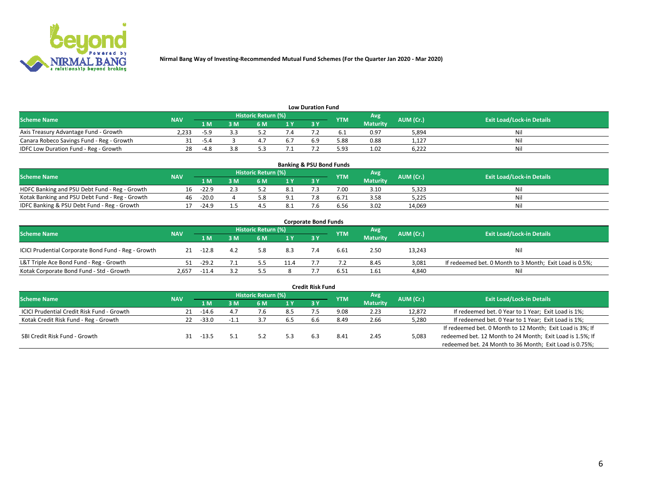

| <b>Low Duration Fund</b>                  |            |        |     |                            |  |    |            |                 |           |                                  |  |  |  |
|-------------------------------------------|------------|--------|-----|----------------------------|--|----|------------|-----------------|-----------|----------------------------------|--|--|--|
| <b>Scheme Name</b>                        | <b>NAV</b> |        |     | <b>Historic Return (%)</b> |  |    | <b>YTM</b> | Avg             | AUM (Cr.) | <b>Exit Load/Lock-in Details</b> |  |  |  |
|                                           |            | 1 M    | ያ M | 5 M                        |  | 2V |            | <b>Maturity</b> |           |                                  |  |  |  |
| Axis Treasury Advantage Fund - Growth     | 2.233      | $-5.9$ |     |                            |  |    |            | 0.97            | 5,894     | Nil                              |  |  |  |
| Canara Robeco Savings Fund - Reg - Growth |            | $-5.4$ |     |                            |  |    | 5.88       | 0.88            | 1,127     | Nil                              |  |  |  |
| IDFC Low Duration Fund - Reg - Growth     |            | $-4.8$ | 3.8 |                            |  |    | 5.93       | 1.02            | 6.222     | Nil                              |  |  |  |

| <b>Banking &amp; PSU Bond Funds</b>            |            |         |    |                            |      |           |            |                 |           |                                  |  |  |  |
|------------------------------------------------|------------|---------|----|----------------------------|------|-----------|------------|-----------------|-----------|----------------------------------|--|--|--|
| <b>Scheme Name</b>                             | <b>NAV</b> |         |    | <b>Historic Return (%)</b> |      |           | <b>YTM</b> | Avg             | AUM (Cr.) | <b>Exit Load/Lock-in Details</b> |  |  |  |
|                                                |            | 1 M     | sм | 6 M                        | 71 Y | <b>3Y</b> |            | <b>Maturity</b> |           |                                  |  |  |  |
| HDFC Banking and PSU Debt Fund - Reg - Growth  | 16         | $-22.9$ |    |                            | -8.1 |           | 7.00       | 3.10            | 5,323     | Ni                               |  |  |  |
| Kotak Banking and PSU Debt Fund - Reg - Growth | 46         | $-20.0$ |    |                            | 9.1  |           |            | 3.58            | 5,225     | Ni                               |  |  |  |
| IDFC Banking & PSU Debt Fund - Reg - Growth    |            | $-24.9$ |    |                            | 8.1  |           | 6.56       | 3.02            | 14.069    | Ni                               |  |  |  |

| <b>Corporate Bond Funds</b>                         |            |         |     |                     |      |            |            |                 |           |                                                         |  |  |  |  |
|-----------------------------------------------------|------------|---------|-----|---------------------|------|------------|------------|-----------------|-----------|---------------------------------------------------------|--|--|--|--|
| <b>Scheme Name</b>                                  | <b>NAV</b> |         |     | Historic Return (%) |      |            | <b>YTM</b> | Avg             | AUM (Cr.) | <b>Exit Load/Lock-in Details</b>                        |  |  |  |  |
|                                                     |            | 1 M     | 3 M | 6 M                 | 1 Y  | <b>3 Y</b> |            | <b>Maturity</b> |           |                                                         |  |  |  |  |
| ICICI Prudential Corporate Bond Fund - Reg - Growth | 21         | $-12.8$ | 4.2 | 5.8                 | 8.3  |            | 6.61       | 2.50            | 13,243    | Nil                                                     |  |  |  |  |
| L&T Triple Ace Bond Fund - Reg - Growth             |            | $-29.2$ |     |                     | 11.4 |            |            | 8.45            | 3,081     | If redeemed bet. 0 Month to 3 Month; Exit Load is 0.5%; |  |  |  |  |
| Kotak Corporate Bond Fund - Std - Growth            | 2.657      | $-11.4$ |     |                     |      |            | 6.51       | 1.61            | 4,840     | Nil                                                     |  |  |  |  |

| <b>Credit Risk Fund</b>                    |            |         |     |                     |     |     |            |                 |           |                                                           |  |  |
|--------------------------------------------|------------|---------|-----|---------------------|-----|-----|------------|-----------------|-----------|-----------------------------------------------------------|--|--|
| <b>Scheme Name</b>                         | <b>NAV</b> |         |     | Historic Return (%) |     |     | <b>YTM</b> | Avg             | AUM (Cr.) | <b>Exit Load/Lock-in Details</b>                          |  |  |
|                                            |            | 1 M     | I M | 6 M                 | 1 Y | 3Y  |            | <b>Maturity</b> |           |                                                           |  |  |
| ICICI Prudential Credit Risk Fund - Growth | 21         | -14.6   | 4.7 |                     | 8.5 |     | 9.08       | 2.23            | 12,872    | If redeemed bet. 0 Year to 1 Year; Exit Load is 1%;       |  |  |
| Kotak Credit Risk Fund - Reg - Growth      | 22.        | $-33.0$ |     |                     | 6.5 | h.h | 8.49       | 2.66            | 5,280     | If redeemed bet. 0 Year to 1 Year; Exit Load is 1%;       |  |  |
|                                            |            |         |     |                     |     |     |            |                 |           | If redeemed bet. 0 Month to 12 Month; Exit Load is 3%; If |  |  |
| SBI Credit Risk Fund - Growth              |            | -13.5   |     |                     | 5.3 |     | 8.4        | 2.45            | 5,083     | redeemed bet. 12 Month to 24 Month; Exit Load is 1.5%; If |  |  |
|                                            |            |         |     |                     |     |     |            |                 |           | redeemed bet. 24 Month to 36 Month; Exit Load is 0.75%;   |  |  |